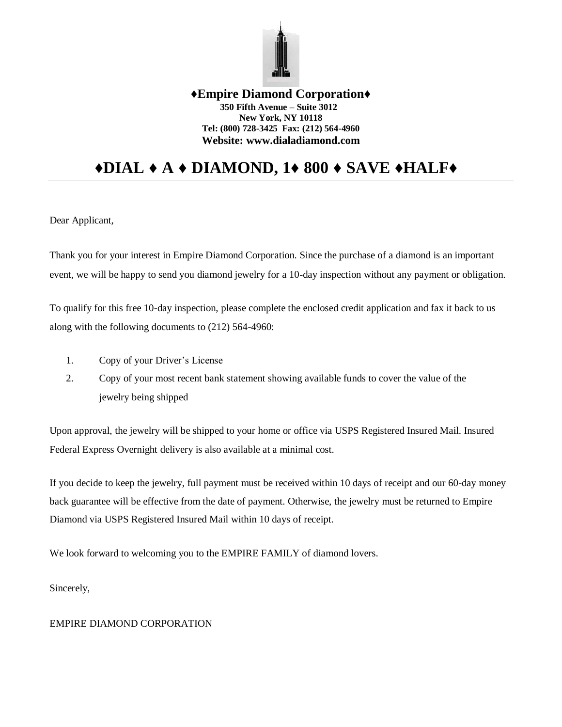

## **♦Empire Diamond Corporation♦ 350 Fifth Avenue – Suite 3012 New York, NY 10118 Tel: (800) 728-3425 Fax: (212) 564-4960 Website: www.dialadiamond.com**

## **♦DIAL ♦ A ♦ DIAMOND, 1♦ 800 ♦ SAVE ♦HALF♦**

Dear Applicant,

Thank you for your interest in Empire Diamond Corporation. Since the purchase of a diamond is an important event, we will be happy to send you diamond jewelry for a 10-day inspection without any payment or obligation.

To qualify for this free 10-day inspection, please complete the enclosed credit application and fax it back to us along with the following documents to (212) 564-4960:

- 1. Copy of your Driver's License
- 2. Copy of your most recent bank statement showing available funds to cover the value of the jewelry being shipped

Upon approval, the jewelry will be shipped to your home or office via USPS Registered Insured Mail. Insured Federal Express Overnight delivery is also available at a minimal cost.

If you decide to keep the jewelry, full payment must be received within 10 days of receipt and our 60-day money back guarantee will be effective from the date of payment. Otherwise, the jewelry must be returned to Empire Diamond via USPS Registered Insured Mail within 10 days of receipt.

We look forward to welcoming you to the EMPIRE FAMILY of diamond lovers.

Sincerely,

## EMPIRE DIAMOND CORPORATION